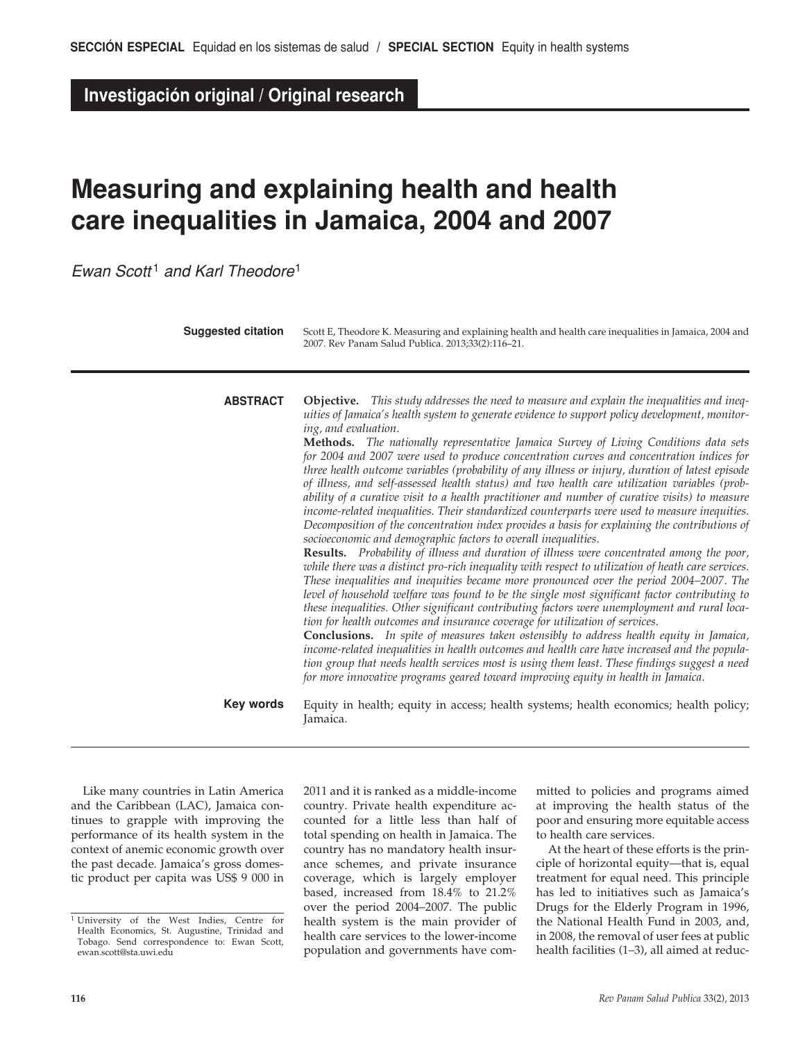**Investigación original / Original research**

# **Measuring and explaining health and health care inequalities in Jamaica, 2004 and 2007**

*Ewan Scott* <sup>1</sup> *and Karl Theodore*<sup>1</sup>

**Suggested citation**

Scott E, Theodore K. Measuring and explaining health and health care inequalities in Jamaica, 2004 and 2007. Rev Panam Salud Publica. 2013;33(2):116–21.

| <b>ABSTRACT</b> | <b>Objective.</b> This study addresses the need to measure and explain the inequalities and ineq-<br>uities of Jamaica's health system to generate evidence to support policy development, monitor-<br>ing, and evaluation.<br><b>Methods.</b> The nationally representative Jamaica Survey of Living Conditions data sets<br>for 2004 and 2007 were used to produce concentration curves and concentration indices for<br>three health outcome variables (probability of any illness or injury, duration of latest episode<br>of illness, and self-assessed health status) and two health care utilization variables (prob-<br>ability of a curative visit to a health practitioner and number of curative visits) to measure<br>income-related inequalities. Their standardized counterparts were used to measure inequities.<br>Decomposition of the concentration index provides a basis for explaining the contributions of<br>socioeconomic and demographic factors to overall inequalities.<br>Results. Probability of illness and duration of illness were concentrated among the poor,<br>while there was a distinct pro-rich inequality with respect to utilization of heath care services.<br>These inequalities and inequities became more pronounced over the period 2004–2007. The<br>level of household welfare was found to be the single most significant factor contributing to<br>these inequalities. Other significant contributing factors were unemployment and rural loca-<br>tion for health outcomes and insurance coverage for utilization of services.<br><b>Conclusions.</b> In spite of measures taken ostensibly to address health equity in Jamaica,<br>income-related inequalities in health outcomes and health care have increased and the popula- |
|-----------------|--------------------------------------------------------------------------------------------------------------------------------------------------------------------------------------------------------------------------------------------------------------------------------------------------------------------------------------------------------------------------------------------------------------------------------------------------------------------------------------------------------------------------------------------------------------------------------------------------------------------------------------------------------------------------------------------------------------------------------------------------------------------------------------------------------------------------------------------------------------------------------------------------------------------------------------------------------------------------------------------------------------------------------------------------------------------------------------------------------------------------------------------------------------------------------------------------------------------------------------------------------------------------------------------------------------------------------------------------------------------------------------------------------------------------------------------------------------------------------------------------------------------------------------------------------------------------------------------------------------------------------------------------------------------------------------------------------------------------------------------------------------------------------------|
|                 | tion group that needs health services most is using them least. These findings suggest a need<br>for more innovative programs geared toward improving equity in health in Jamaica.                                                                                                                                                                                                                                                                                                                                                                                                                                                                                                                                                                                                                                                                                                                                                                                                                                                                                                                                                                                                                                                                                                                                                                                                                                                                                                                                                                                                                                                                                                                                                                                                   |

Equity in health; equity in access; health systems; health economics; health policy; Jamaica. **Key words**

Like many countries in Latin America and the Caribbean (LAC), Jamaica continues to grapple with improving the performance of its health system in the context of anemic economic growth over the past decade. Jamaica's gross domestic product per capita was US\$ 9 000 in

2011 and it is ranked as a middle-income country. Private health expenditure accounted for a little less than half of total spending on health in Jamaica. The country has no mandatory health insurance schemes, and private insurance coverage, which is largely employer based, increased from 18.4% to 21.2% over the period 2004–2007. The public health system is the main provider of health care services to the lower-income population and governments have committed to policies and programs aimed at improving the health status of the poor and ensuring more equitable access to health care services.

At the heart of these efforts is the principle of horizontal equity—that is, equal treatment for equal need. This principle has led to initiatives such as Jamaica's Drugs for the Elderly Program in 1996, the National Health Fund in 2003, and, in 2008, the removal of user fees at public health facilities (1–3), all aimed at reduc-

<sup>1</sup> University of the West Indies, Centre for Health Economics, St. Augustine, Trinidad and Tobago. Send correspondence to: Ewan Scott, ewan.scott@sta.uwi.edu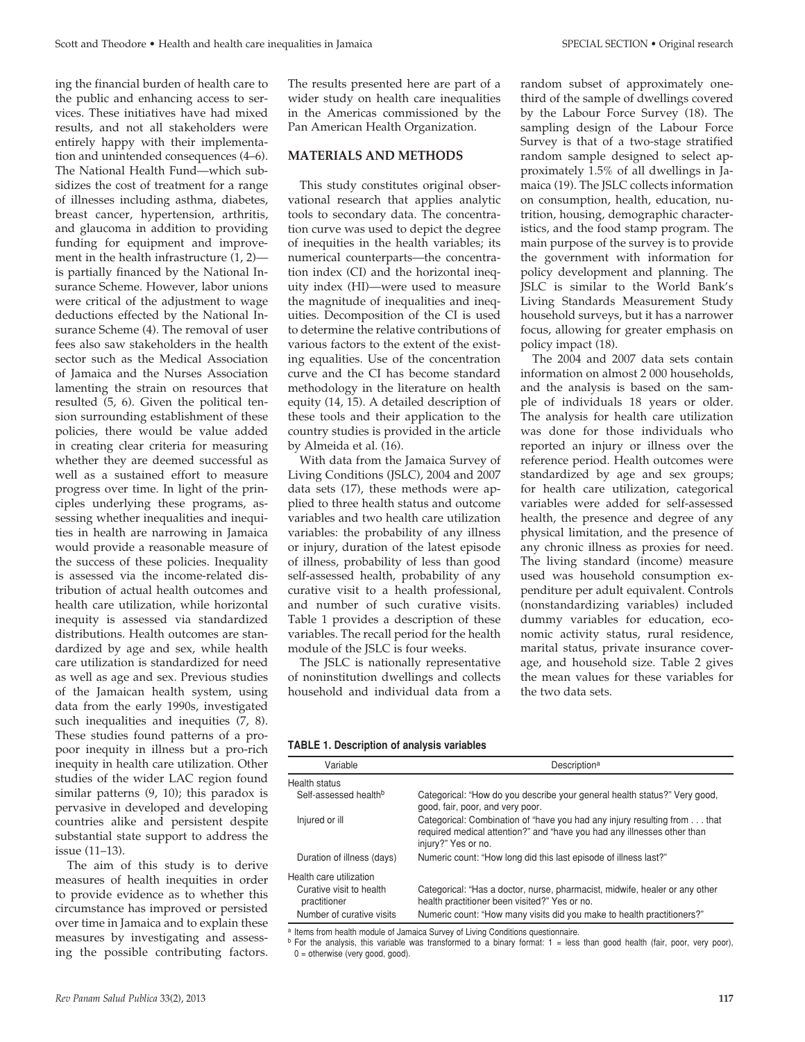ing the financial burden of health care to the public and enhancing access to services. These initiatives have had mixed results, and not all stakeholders were entirely happy with their implementation and unintended consequences (4–6). The National Health Fund—which subsidizes the cost of treatment for a range of illnesses including asthma, diabetes, breast cancer, hypertension, arthritis, and glaucoma in addition to providing funding for equipment and improvement in the health infrastructure (1, 2) is partially financed by the National Insurance Scheme. However, labor unions were critical of the adjustment to wage deductions effected by the National Insurance Scheme (4). The removal of user fees also saw stakeholders in the health sector such as the Medical Association of Jamaica and the Nurses Association lamenting the strain on resources that resulted (5, 6). Given the political tension surrounding establishment of these policies, there would be value added in creating clear criteria for measuring whether they are deemed successful as well as a sustained effort to measure progress over time. In light of the principles underlying these programs, assessing whether inequalities and inequities in health are narrowing in Jamaica would provide a reasonable measure of the success of these policies. Inequality is assessed via the income-related distribution of actual health outcomes and health care utilization, while horizontal inequity is assessed via standardized distributions. Health outcomes are standardized by age and sex, while health care utilization is standardized for need as well as age and sex. Previous studies of the Jamaican health system, using data from the early 1990s, investigated such inequalities and inequities (7, 8). These studies found patterns of a propoor inequity in illness but a pro-rich inequity in health care utilization. Other studies of the wider LAC region found similar patterns (9, 10); this paradox is pervasive in developed and developing countries alike and persistent despite substantial state support to address the issue (11–13).

The aim of this study is to derive measures of health inequities in order to provide evidence as to whether this circumstance has improved or persisted over time in Jamaica and to explain these measures by investigating and assessing the possible contributing factors.

The results presented here are part of a wider study on health care inequalities in the Americas commissioned by the Pan American Health Organization.

#### **materialS and Methods**

This study constitutes original observational research that applies analytic tools to secondary data. The concentration curve was used to depict the degree of inequities in the health variables; its numerical counterparts—the concentration index (CI) and the horizontal inequity index (HI)—were used to measure the magnitude of inequalities and inequities. Decomposition of the CI is used to determine the relative contributions of various factors to the extent of the existing equalities. Use of the concentration curve and the CI has become standard methodology in the literature on health equity (14, 15). A detailed description of these tools and their application to the country studies is provided in the article by Almeida et al. (16).

With data from the Jamaica Survey of Living Conditions (JSLC), 2004 and 2007 data sets (17), these methods were applied to three health status and outcome variables and two health care utilization variables: the probability of any illness or injury, duration of the latest episode of illness, probability of less than good self-assessed health, probability of any curative visit to a health professional, and number of such curative visits. Table 1 provides a description of these variables. The recall period for the health module of the JSLC is four weeks.

The JSLC is nationally representative of noninstitution dwellings and collects household and individual data from a

random subset of approximately onethird of the sample of dwellings covered by the Labour Force Survey (18). The sampling design of the Labour Force Survey is that of a two-stage stratified random sample designed to select approximately 1.5% of all dwellings in Jamaica (19). The JSLC collects information on consumption, health, education, nutrition, housing, demographic characteristics, and the food stamp program. The main purpose of the survey is to provide the government with information for policy development and planning. The JSLC is similar to the World Bank's Living Standards Measurement Study household surveys, but it has a narrower focus, allowing for greater emphasis on policy impact (18).

The 2004 and 2007 data sets contain information on almost 2 000 households, and the analysis is based on the sample of individuals 18 years or older. The analysis for health care utilization was done for those individuals who reported an injury or illness over the reference period. Health outcomes were standardized by age and sex groups; for health care utilization, categorical variables were added for self-assessed health, the presence and degree of any physical limitation, and the presence of any chronic illness as proxies for need. The living standard (income) measure used was household consumption expenditure per adult equivalent. Controls (nonstandardizing variables) included dummy variables for education, economic activity status, rural residence, marital status, private insurance coverage, and household size. Table 2 gives the mean values for these variables for the two data sets.

#### **Table 1. Description of analysis variables**

| Variable                                 | Description <sup>a</sup>                                                                                                                                                   |  |  |  |  |
|------------------------------------------|----------------------------------------------------------------------------------------------------------------------------------------------------------------------------|--|--|--|--|
| Health status                            |                                                                                                                                                                            |  |  |  |  |
| Self-assessed health <sup>b</sup>        | Categorical: "How do you describe your general health status?" Very good,<br>good, fair, poor, and very poor.                                                              |  |  |  |  |
| Injured or ill                           | Categorical: Combination of "have you had any injury resulting from that<br>required medical attention?" and "have you had any illnesses other than<br>injury?" Yes or no. |  |  |  |  |
| Duration of illness (days)               | Numeric count: "How long did this last episode of illness last?"                                                                                                           |  |  |  |  |
| Health care utilization                  |                                                                                                                                                                            |  |  |  |  |
| Curative visit to health<br>practitioner | Categorical: "Has a doctor, nurse, pharmacist, midwife, healer or any other<br>health practitioner been visited?" Yes or no.                                               |  |  |  |  |
| Number of curative visits                | Numeric count: "How many visits did you make to health practitioners?"                                                                                                     |  |  |  |  |

a Items from health module of Jamaica Survey of Living Conditions questionnaire.

 $b$  For the analysis, this variable was transformed to a binary format:  $1 =$  less than good health (fair, poor, very poor),  $0 =$  otherwise (very good, good).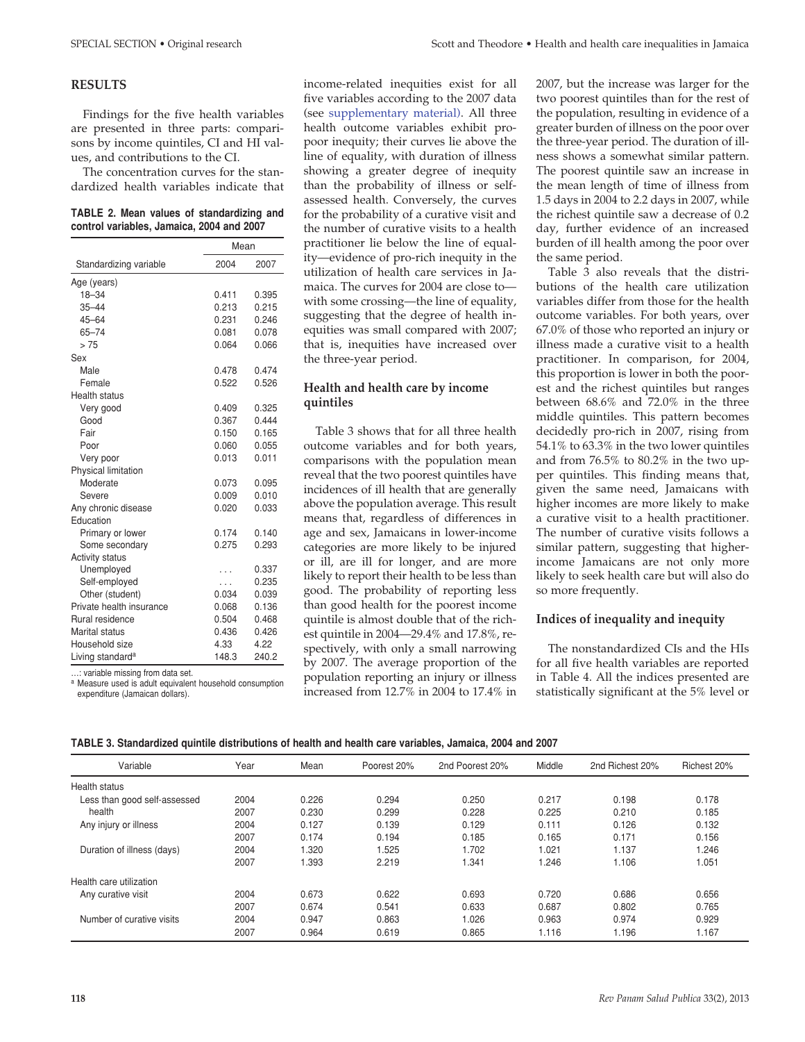#### **RESULTS**

Findings for the five health variables are presented in three parts: comparisons by income quintiles, CI and HI values, and contributions to the CI.

The concentration curves for the standardized health variables indicate that

#### **Table 2. Mean values of standardizing and control variables, Jamaica, 2004 and 2007**

|                              | Mean  |       |  |
|------------------------------|-------|-------|--|
| Standardizing variable       | 2004  | 2007  |  |
| Age (years)                  |       |       |  |
| $18 - 34$                    | 0.411 | 0.395 |  |
| $35 - 44$                    | 0.213 | 0.215 |  |
| $45 - 64$                    | 0.231 | 0.246 |  |
| $65 - 74$                    | 0.081 | 0.078 |  |
| >75                          | 0.064 | 0.066 |  |
| Sex                          |       |       |  |
| Male                         | 0.478 | 0.474 |  |
| Female                       | 0.522 | 0.526 |  |
| <b>Health status</b>         |       |       |  |
| Very good                    | 0.409 | 0.325 |  |
| Good                         | 0.367 | 0.444 |  |
| Fair                         | 0.150 | 0.165 |  |
| Poor                         | 0.060 | 0.055 |  |
| Very poor                    | 0.013 | 0.011 |  |
| Physical limitation          |       |       |  |
| Moderate                     | 0.073 | 0.095 |  |
| Severe                       | 0.009 | 0.010 |  |
| Any chronic disease          | 0.020 | 0.033 |  |
| Education                    |       |       |  |
| Primary or lower             | 0.174 | 0.140 |  |
| Some secondary               | 0.275 | 0.293 |  |
| <b>Activity status</b>       |       |       |  |
| Unemployed                   | .     | 0.337 |  |
| Self-employed                | .     | 0.235 |  |
| Other (student)              | 0.034 | 0.039 |  |
| Private health insurance     | 0.068 | 0.136 |  |
| Rural residence              | 0.504 | 0.468 |  |
| Marital status               | 0.436 | 0.426 |  |
| Household size               | 4.33  | 4.22  |  |
| Living standard <sup>a</sup> | 148.3 | 240.2 |  |

…: variable missing from data set.

<sup>a</sup> Measure used is adult equivalent household consumption expenditure (Jamaican dollars).

income-related inequities exist for all five variables according to the 2007 data (see [supplementary material\).](http://new.paho.org/journal/index.php?option=com_docman&task=doc_download&gid=547&Itemid=) All three health outcome variables exhibit propoor inequity; their curves lie above the line of equality, with duration of illness showing a greater degree of inequity than the probability of illness or selfassessed health. Conversely, the curves for the probability of a curative visit and the number of curative visits to a health practitioner lie below the line of equality—evidence of pro-rich inequity in the utilization of health care services in Jamaica. The curves for 2004 are close to with some crossing—the line of equality, suggesting that the degree of health inequities was small compared with 2007; that is, inequities have increased over the three-year period.

### **Health and health care by income quintiles**

Table 3 shows that for all three health outcome variables and for both years, comparisons with the population mean reveal that the two poorest quintiles have incidences of ill health that are generally above the population average. This result means that, regardless of differences in age and sex, Jamaicans in lower-income categories are more likely to be injured or ill, are ill for longer, and are more likely to report their health to be less than good. The probability of reporting less than good health for the poorest income quintile is almost double that of the richest quintile in 2004—29.4% and 17.8%, respectively, with only a small narrowing by 2007. The average proportion of the population reporting an injury or illness increased from 12.7% in 2004 to 17.4% in

2007, but the increase was larger for the two poorest quintiles than for the rest of the population, resulting in evidence of a greater burden of illness on the poor over the three-year period. The duration of illness shows a somewhat similar pattern. The poorest quintile saw an increase in the mean length of time of illness from 1.5 days in 2004 to 2.2 days in 2007, while the richest quintile saw a decrease of 0.2 day, further evidence of an increased burden of ill health among the poor over the same period.

Table 3 also reveals that the distributions of the health care utilization variables differ from those for the health outcome variables. For both years, over 67.0% of those who reported an injury or illness made a curative visit to a health practitioner. In comparison, for 2004, this proportion is lower in both the poorest and the richest quintiles but ranges between 68.6% and 72.0% in the three middle quintiles. This pattern becomes decidedly pro-rich in 2007, rising from 54.1% to 63.3% in the two lower quintiles and from 76.5% to 80.2% in the two upper quintiles. This finding means that, given the same need, Jamaicans with higher incomes are more likely to make a curative visit to a health practitioner. The number of curative visits follows a similar pattern, suggesting that higherincome Jamaicans are not only more likely to seek health care but will also do so more frequently.

#### **Indices of inequality and inequity**

The nonstandardized CIs and the HIs for all five health variables are reported in Table 4. All the indices presented are statistically significant at the 5% level or

| TABLE 3. Standardized quintile distributions of health and health care variables, Jamaica, 2004 and 2007 |  |  |  |
|----------------------------------------------------------------------------------------------------------|--|--|--|
|                                                                                                          |  |  |  |

| Variable                     | Year | Mean  | Poorest 20% | 2nd Poorest 20% | Middle | 2nd Richest 20% | Richest 20% |
|------------------------------|------|-------|-------------|-----------------|--------|-----------------|-------------|
| Health status                |      |       |             |                 |        |                 |             |
| Less than good self-assessed | 2004 | 0.226 | 0.294       | 0.250           | 0.217  | 0.198           | 0.178       |
| health                       | 2007 | 0.230 | 0.299       | 0.228           | 0.225  | 0.210           | 0.185       |
| Any injury or illness        | 2004 | 0.127 | 0.139       | 0.129           | 0.111  | 0.126           | 0.132       |
|                              | 2007 | 0.174 | 0.194       | 0.185           | 0.165  | 0.171           | 0.156       |
| Duration of illness (days)   | 2004 | 1.320 | 1.525       | 1.702           | 1.021  | 1.137           | 1.246       |
|                              | 2007 | 1.393 | 2.219       | 1.341           | 1.246  | 1.106           | 1.051       |
| Health care utilization      |      |       |             |                 |        |                 |             |
| Any curative visit           | 2004 | 0.673 | 0.622       | 0.693           | 0.720  | 0.686           | 0.656       |
|                              | 2007 | 0.674 | 0.541       | 0.633           | 0.687  | 0.802           | 0.765       |
| Number of curative visits    | 2004 | 0.947 | 0.863       | 1.026           | 0.963  | 0.974           | 0.929       |
|                              | 2007 | 0.964 | 0.619       | 0.865           | 1.116  | 1.196           | 1.167       |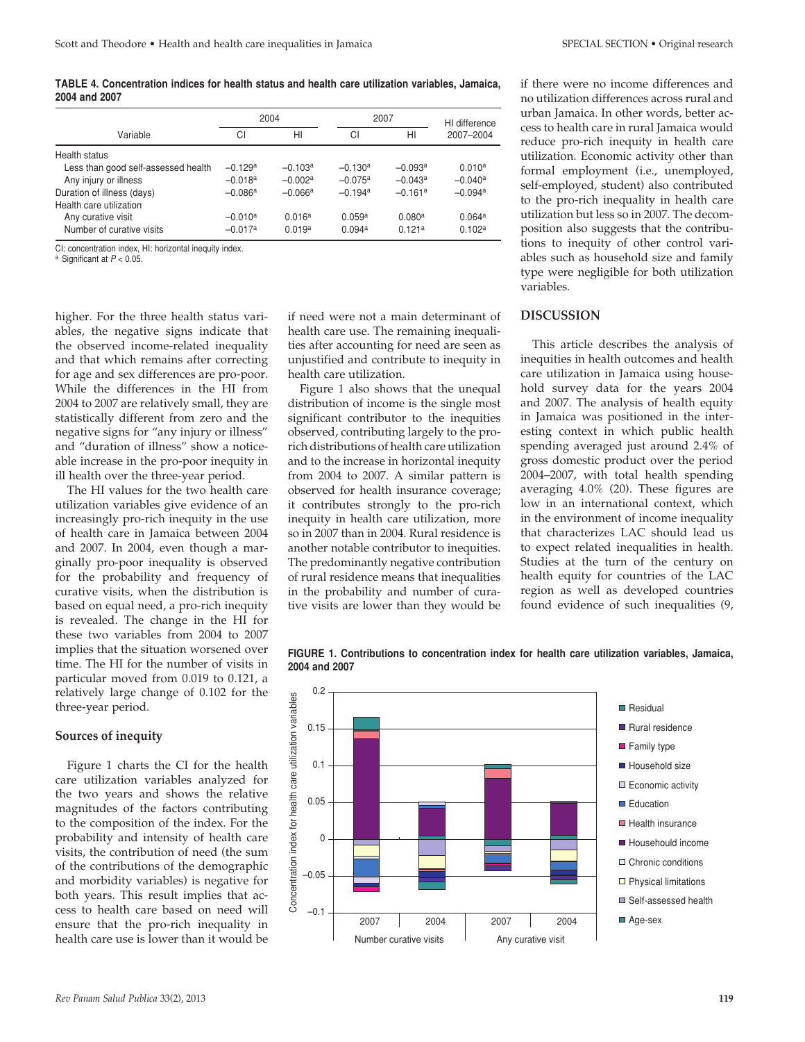**Table 4. Concentration indices for health status and health care utilization variables, Jamaica, 2004 and 2007**

|                                     | 2004      |                    |                       | 2007               |                       |
|-------------------------------------|-----------|--------------------|-----------------------|--------------------|-----------------------|
| Variable                            | СI        | HI                 | СI                    | HI                 | 2007-2004             |
| Health status                       |           |                    |                       |                    |                       |
| Less than good self-assessed health | $-0.129a$ | $-0.103a$          | $-0.130a$             | $-0.093a$          | 0.010 <sup>a</sup>    |
| Any injury or illness               | $-0.018a$ | $-0.002a$          | $-0.075a$             | $-0.043a$          | $-0.040$ <sup>a</sup> |
| Duration of illness (days)          | $-0.086a$ | $-0.066a$          | $-0.194$ <sup>a</sup> | $-0.161a$          | $-0.094a$             |
| Health care utilization             |           |                    |                       |                    |                       |
| Any curative visit                  | $-0.010a$ | 0.016 <sup>a</sup> | 0.059a                | 0.080 <sup>a</sup> | 0.064a                |
| Number of curative visits           | $-0.017a$ | 0.019a             | 0.094a                | 0.121a             | 0.102 <sup>a</sup>    |

CI: concentration index, HI: horizontal inequity index.

<sup>a</sup> Significant at *P* < 0.05.

higher. For the three health status variables, the negative signs indicate that the observed income-related inequality and that which remains after correcting for age and sex differences are pro-poor. While the differences in the HI from 2004 to 2007 are relatively small, they are statistically different from zero and the negative signs for "any injury or illness" and "duration of illness" show a noticeable increase in the pro-poor inequity in ill health over the three-year period.

The HI values for the two health care utilization variables give evidence of an increasingly pro-rich inequity in the use of health care in Jamaica between 2004 and 2007. In 2004, even though a marginally pro-poor inequality is observed for the probability and frequency of curative visits, when the distribution is based on equal need, a pro-rich inequity is revealed. The change in the HI for these two variables from 2004 to 2007 implies that the situation worsened over time. The HI for the number of visits in particular moved from 0.019 to 0.121, a relatively large change of 0.102 for the three-year period.

#### **Sources of inequity**

Figure 1 charts the CI for the health care utilization variables analyzed for the two years and shows the relative magnitudes of the factors contributing to the composition of the index. For the probability and intensity of health care visits, the contribution of need (the sum of the contributions of the demographic and morbidity variables) is negative for both years. This result implies that access to health care based on need will ensure that the pro-rich inequality in health care use is lower than it would be

if need were not a main determinant of health care use. The remaining inequalities after accounting for need are seen as unjustified and contribute to inequity in health care utilization.

Figure 1 also shows that the unequal distribution of income is the single most significant contributor to the inequities observed, contributing largely to the prorich distributions of health care utilization and to the increase in horizontal inequity from 2004 to 2007. A similar pattern is observed for health insurance coverage; it contributes strongly to the pro-rich inequity in health care utilization, more so in 2007 than in 2004. Rural residence is another notable contributor to inequities. The predominantly negative contribution of rural residence means that inequalities in the probability and number of curative visits are lower than they would be

if there were no income differences and no utilization differences across rural and urban Jamaica. In other words, better access to health care in rural Jamaica would reduce pro-rich inequity in health care utilization. Economic activity other than formal employment (i.e., unemployed, self-employed, student) also contributed to the pro-rich inequality in health care utilization but less so in 2007. The decomposition also suggests that the contributions to inequity of other control variables such as household size and family type were negligible for both utilization variables.

#### **discussion**

This article describes the analysis of inequities in health outcomes and health care utilization in Jamaica using household survey data for the years 2004 and 2007. The analysis of health equity in Jamaica was positioned in the interesting context in which public health spending averaged just around 2.4% of gross domestic product over the period 2004–2007, with total health spending averaging 4.0% (20). These figures are low in an international context, which in the environment of income inequality that characterizes LAC should lead us to expect related inequalities in health. Studies at the turn of the century on health equity for countries of the LAC region as well as developed countries found evidence of such inequalities (9,



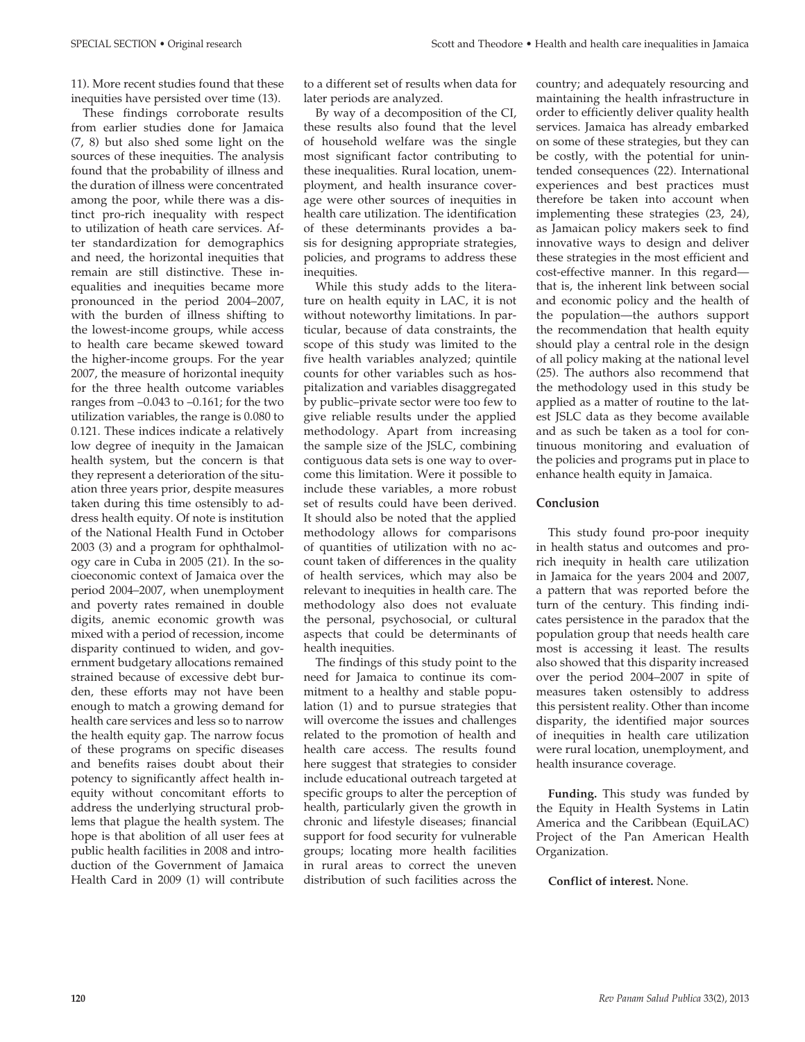11). More recent studies found that these inequities have persisted over time (13).

These findings corroborate results from earlier studies done for Jamaica (7, 8) but also shed some light on the sources of these inequities. The analysis found that the probability of illness and the duration of illness were concentrated among the poor, while there was a distinct pro-rich inequality with respect to utilization of heath care services. After standardization for demographics and need, the horizontal inequities that remain are still distinctive. These inequalities and inequities became more pronounced in the period 2004–2007, with the burden of illness shifting to the lowest-income groups, while access to health care became skewed toward the higher-income groups. For the year 2007, the measure of horizontal inequity for the three health outcome variables ranges from  $-0.043$  to  $-0.161$ ; for the two utilization variables, the range is 0.080 to 0.121. These indices indicate a relatively low degree of inequity in the Jamaican health system, but the concern is that they represent a deterioration of the situation three years prior, despite measures taken during this time ostensibly to address health equity. Of note is institution of the National Health Fund in October 2003 (3) and a program for ophthalmology care in Cuba in 2005 (21). In the socioeconomic context of Jamaica over the period 2004–2007, when unemployment and poverty rates remained in double digits, anemic economic growth was mixed with a period of recession, income disparity continued to widen, and government budgetary allocations remained strained because of excessive debt burden, these efforts may not have been enough to match a growing demand for health care services and less so to narrow the health equity gap. The narrow focus of these programs on specific diseases and benefits raises doubt about their potency to significantly affect health inequity without concomitant efforts to address the underlying structural problems that plague the health system. The hope is that abolition of all user fees at public health facilities in 2008 and introduction of the Government of Jamaica Health Card in 2009 (1) will contribute

to a different set of results when data for later periods are analyzed.

By way of a decomposition of the CI, these results also found that the level of household welfare was the single most significant factor contributing to these inequalities. Rural location, unemployment, and health insurance coverage were other sources of inequities in health care utilization. The identification of these determinants provides a basis for designing appropriate strategies, policies, and programs to address these inequities.

While this study adds to the literature on health equity in LAC, it is not without noteworthy limitations. In particular, because of data constraints, the scope of this study was limited to the five health variables analyzed; quintile counts for other variables such as hospitalization and variables disaggregated by public–private sector were too few to give reliable results under the applied methodology. Apart from increasing the sample size of the JSLC, combining contiguous data sets is one way to overcome this limitation. Were it possible to include these variables, a more robust set of results could have been derived. It should also be noted that the applied methodology allows for comparisons of quantities of utilization with no account taken of differences in the quality of health services, which may also be relevant to inequities in health care. The methodology also does not evaluate the personal, psychosocial, or cultural aspects that could be determinants of health inequities.

The findings of this study point to the need for Jamaica to continue its commitment to a healthy and stable population (1) and to pursue strategies that will overcome the issues and challenges related to the promotion of health and health care access. The results found here suggest that strategies to consider include educational outreach targeted at specific groups to alter the perception of health, particularly given the growth in chronic and lifestyle diseases; financial support for food security for vulnerable groups; locating more health facilities in rural areas to correct the uneven distribution of such facilities across the

country; and adequately resourcing and maintaining the health infrastructure in order to efficiently deliver quality health services. Jamaica has already embarked on some of these strategies, but they can be costly, with the potential for unintended consequences (22). International experiences and best practices must therefore be taken into account when implementing these strategies (23, 24), as Jamaican policy makers seek to find innovative ways to design and deliver these strategies in the most efficient and cost-effective manner. In this regard that is, the inherent link between social and economic policy and the health of the population—the authors support the recommendation that health equity should play a central role in the design of all policy making at the national level (25). The authors also recommend that the methodology used in this study be applied as a matter of routine to the latest JSLC data as they become available and as such be taken as a tool for continuous monitoring and evaluation of the policies and programs put in place to enhance health equity in Jamaica.

#### **Conclusion**

This study found pro-poor inequity in health status and outcomes and prorich inequity in health care utilization in Jamaica for the years 2004 and 2007, a pattern that was reported before the turn of the century. This finding indicates persistence in the paradox that the population group that needs health care most is accessing it least. The results also showed that this disparity increased over the period 2004–2007 in spite of measures taken ostensibly to address this persistent reality. Other than income disparity, the identified major sources of inequities in health care utilization were rural location, unemployment, and health insurance coverage.

**Funding.** This study was funded by the Equity in Health Systems in Latin America and the Caribbean (EquiLAC) Project of the Pan American Health Organization.

**Conflict of interest.** None.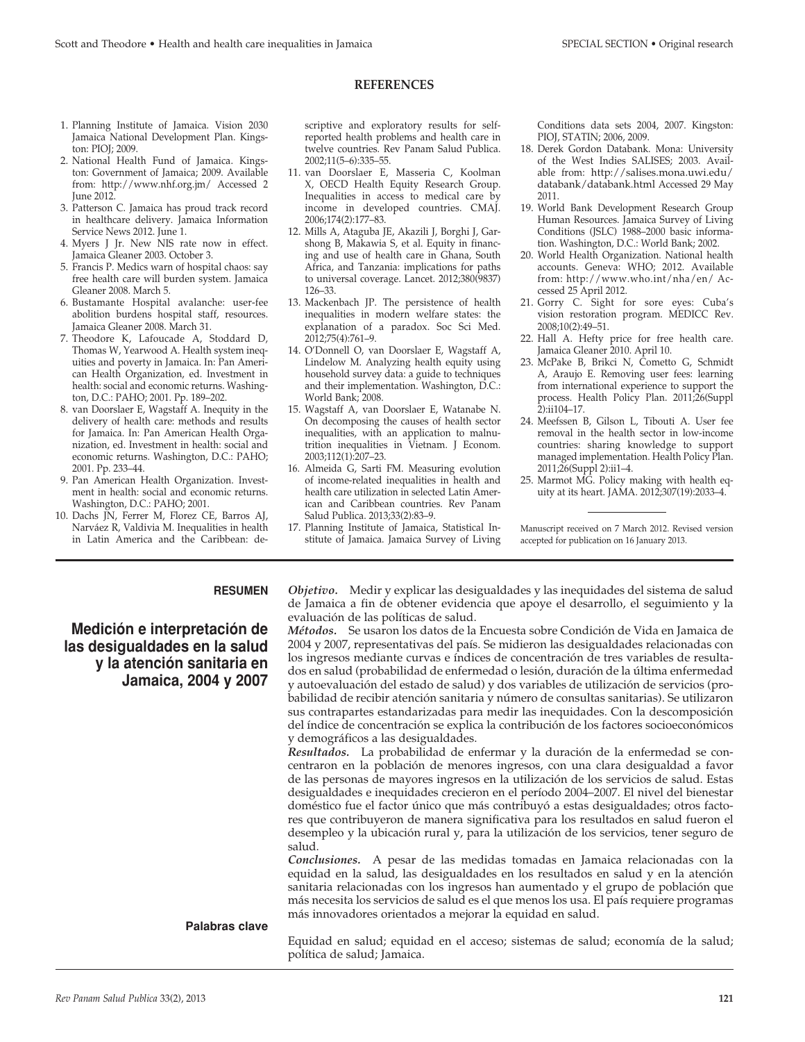#### **REFERENCES**

- 1. Planning Institute of Jamaica. Vision 2030 Jamaica National Development Plan. Kingston: PIOJ; 2009.
- 2. National Health Fund of Jamaica. Kingston: Government of Jamaica; 2009. Available from: http://www.nhf.org.jm/ Accessed 2 June 2012.
- 3. Patterson C. Jamaica has proud track record in healthcare delivery. Jamaica Information Service News 2012. June 1.
- 4. Myers J Jr. New NIS rate now in effect. Jamaica Gleaner 2003. October 3.
- 5. Francis P. Medics warn of hospital chaos: say free health care will burden system. Jamaica Gleaner 2008. March 5.
- 6. Bustamante Hospital avalanche: user-fee abolition burdens hospital staff, resources. Jamaica Gleaner 2008. March 31.
- 7. Theodore K, Lafoucade A, Stoddard D, Thomas W, Yearwood A. Health system inequities and poverty in Jamaica. In: Pan American Health Organization, ed. Investment in health: social and economic returns. Washington, D.C.: PAHO; 2001. Pp. 189–202.
- 8. van Doorslaer E, Wagstaff A. Inequity in the delivery of health care: methods and results for Jamaica. In: Pan American Health Organization, ed. Investment in health: social and economic returns. Washington, D.C.: PAHO; 2001. Pp. 233–44.
- 9. Pan American Health Organization. Investment in health: social and economic returns. Washington, D.C.: PAHO; 2001.
- 10. Dachs JN, Ferrer M, Florez CE, Barros AJ, Narváez R, Valdivia M. Inequalities in health in Latin America and the Caribbean: de-

scriptive and exploratory results for selfreported health problems and health care in twelve countries. Rev Panam Salud Publica. 2002;11(5–6):335–55.

- 11. van Doorslaer E, Masseria C, Koolman X, OECD Health Equity Research Group. Inequalities in access to medical care by income in developed countries. CMAJ. 2006;174(2):177–83.
- 12. Mills A, Ataguba JE, Akazili J, Borghi J, Garshong B, Makawia S, et al. Equity in financing and use of health care in Ghana, South Africa, and Tanzania: implications for paths to universal coverage. Lancet. 2012;380(9837) 126–33.
- 13. Mackenbach JP. The persistence of health inequalities in modern welfare states: the explanation of a paradox. Soc Sci Med. 2012;75(4):761–9.
- 14. O'Donnell O, van Doorslaer E, Wagstaff A, Lindelow M. Analyzing health equity using household survey data: a guide to techniques and their implementation. Washington, D.C.: World Bank; 2008.
- 15. Wagstaff A, van Doorslaer E, Watanabe N. On decomposing the causes of health sector inequalities, with an application to malnutrition inequalities in Vietnam. J Econom. 2003;112(1):207–23.
- 16. Almeida G, Sarti FM. Measuring evolution of income-related inequalities in health and health care utilization in selected Latin American and Caribbean countries. Rev Panam Salud Publica. 2013;33(2):83–9.
- 17. Planning Institute of Jamaica, Statistical Institute of Jamaica. Jamaica Survey of Living

Conditions data sets 2004, 2007. Kingston: PIOJ, STATIN; 2006, 2009.

- 18. Derek Gordon Databank. Mona: University of the West Indies SALISES; 2003. Available from: [http://salises.mona.uwi.edu/](http://salises.mona.uwi.edu/databank/databank.html) [databank/databank.html](http://salises.mona.uwi.edu/databank/databank.html) Accessed 29 May 2011.
- 19. World Bank Development Research Group Human Resources. Jamaica Survey of Living Conditions (JSLC) 1988–2000 basic information. Washington, D.C.: World Bank; 2002.
- 20. World Health Organization. National health accounts. Geneva: WHO; 2012. Available from: http://www.who.int/nha/en/ Accessed 25 April 2012.
- 21. Gorry C. Sight for sore eyes: Cuba's vision restoration program. MEDICC Rev. 2008;10(2):49–51.
- 22. Hall A. Hefty price for free health care. Jamaica Gleaner 2010. April 10.
- 23. McPake B, Brikci N, Cometto G, Schmidt A, Araujo E. Removing user fees: learning from international experience to support the process. Health Policy Plan. 2011;26(Suppl 2):ii104–17.
- 24. Meefssen B, Gilson L, Tibouti A. User fee removal in the health sector in low-income countries: sharing knowledge to support managed implementation. Health Policy Plan. 2011;26(Suppl 2):ii1–4.
- 25. Marmot MG. Policy making with health equity at its heart. JAMA. 2012;307(19):2033–4.

Manuscript received on 7 March 2012. Revised version accepted for publication on 16 January 2013.

#### **resumen**

### **Medición e interpretación de las desigualdades en la salud y la atención sanitaria en Jamaica, 2004 y 2007**

*Objetivo.* Medir y explicar las desigualdades y las inequidades del sistema de salud de Jamaica a fin de obtener evidencia que apoye el desarrollo, el seguimiento y la evaluación de las políticas de salud.

*Métodos.* Se usaron los datos de la Encuesta sobre Condición de Vida en Jamaica de 2004 y 2007, representativas del país. Se midieron las desigualdades relacionadas con los ingresos mediante curvas e índices de concentración de tres variables de resultados en salud (probabilidad de enfermedad o lesión, duración de la última enfermedad y autoevaluación del estado de salud) y dos variables de utilización de servicios (probabilidad de recibir atención sanitaria y número de consultas sanitarias). Se utilizaron sus contrapartes estandarizadas para medir las inequidades. Con la descomposición del índice de concentración se explica la contribución de los factores socioeconómicos y demográficos a las desigualdades.

*Resultados.* La probabilidad de enfermar y la duración de la enfermedad se concentraron en la población de menores ingresos, con una clara desigualdad a favor de las personas de mayores ingresos en la utilización de los servicios de salud. Estas desigualdades e inequidades crecieron en el período 2004–2007. El nivel del bienestar doméstico fue el factor único que más contribuyó a estas desigualdades; otros factores que contribuyeron de manera significativa para los resultados en salud fueron el desempleo y la ubicación rural y, para la utilización de los servicios, tener seguro de salud.

*Conclusiones.* A pesar de las medidas tomadas en Jamaica relacionadas con la equidad en la salud, las desigualdades en los resultados en salud y en la atención sanitaria relacionadas con los ingresos han aumentado y el grupo de población que más necesita los servicios de salud es el que menos los usa. El país requiere programas más innovadores orientados a mejorar la equidad en salud.

#### **Palabras clave**

Equidad en salud; equidad en el acceso; sistemas de salud; economía de la salud; política de salud; Jamaica.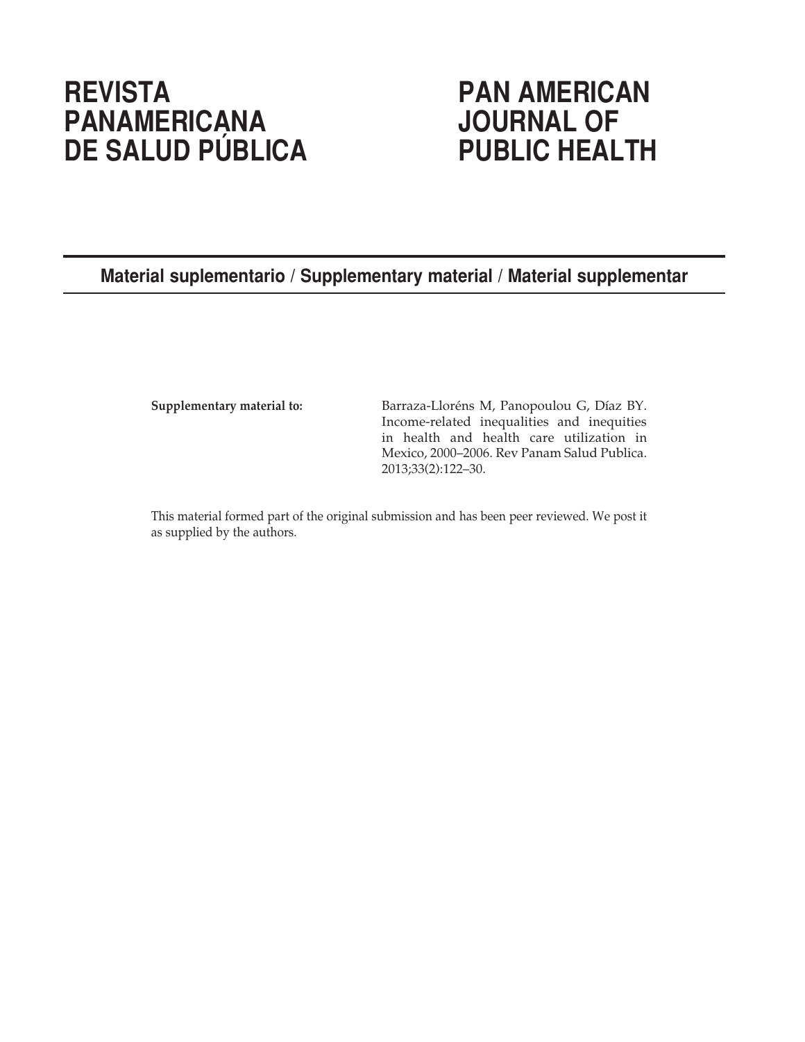# **REVISTA PAN AMERICAN PANAMERICANA JOURNAL OF DE SALUD PÚBLICA**

# **Material suplementario / Supplementary material / Material supplementar**

**Supplementary material to:** Barraza-Lloréns M, Panopoulou G, Díaz BY. Income-related inequalities and inequities in health and health care utilization in Mexico, 2000–2006. Rev Panam Salud Publica. 2013;33(2):122–30.

This material formed part of the original submission and has been peer reviewed. We post it as supplied by the authors.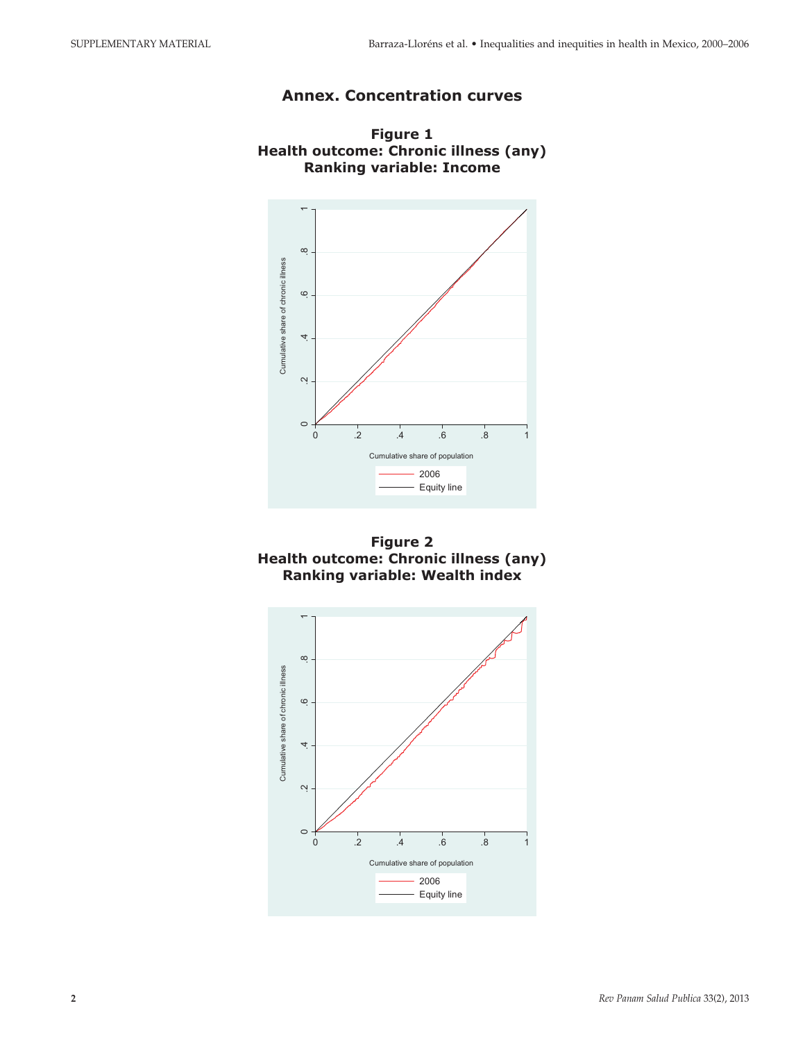## **Annex. Concentration curves**



**Figure 1 Health outcome: Chronic illness (any) Ranking variable: Income** 



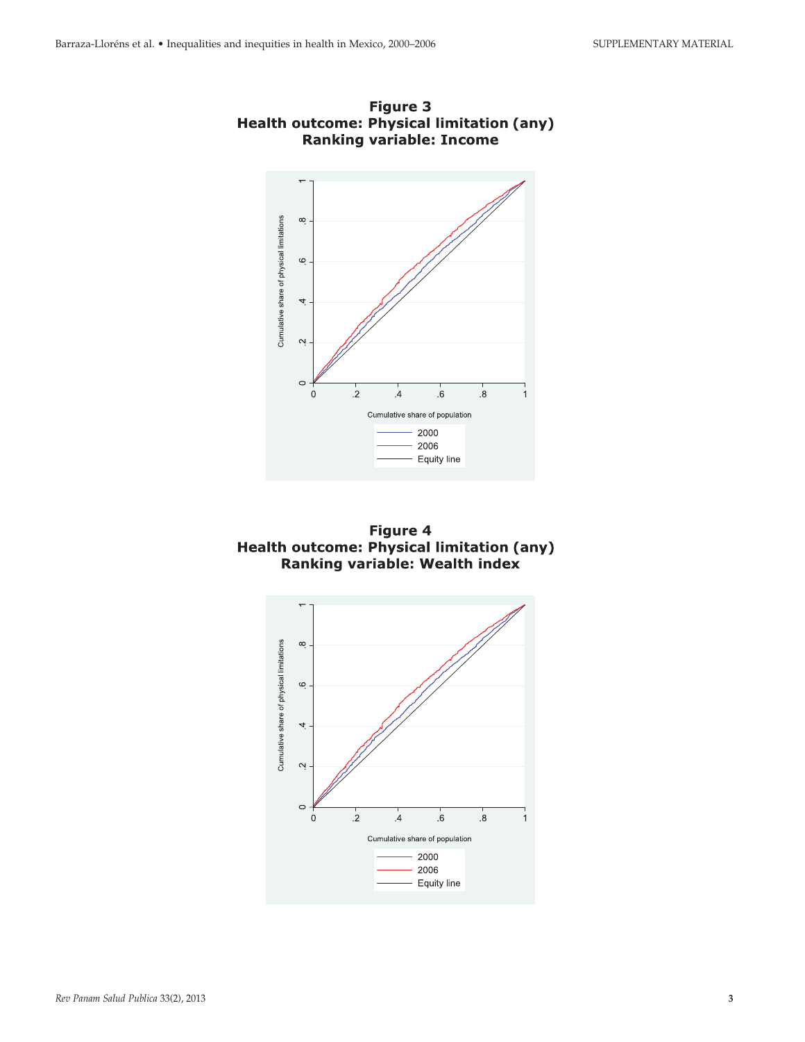

Figure 3 Health outcome: Physical limitation (any)<br>Ranking variable: Income



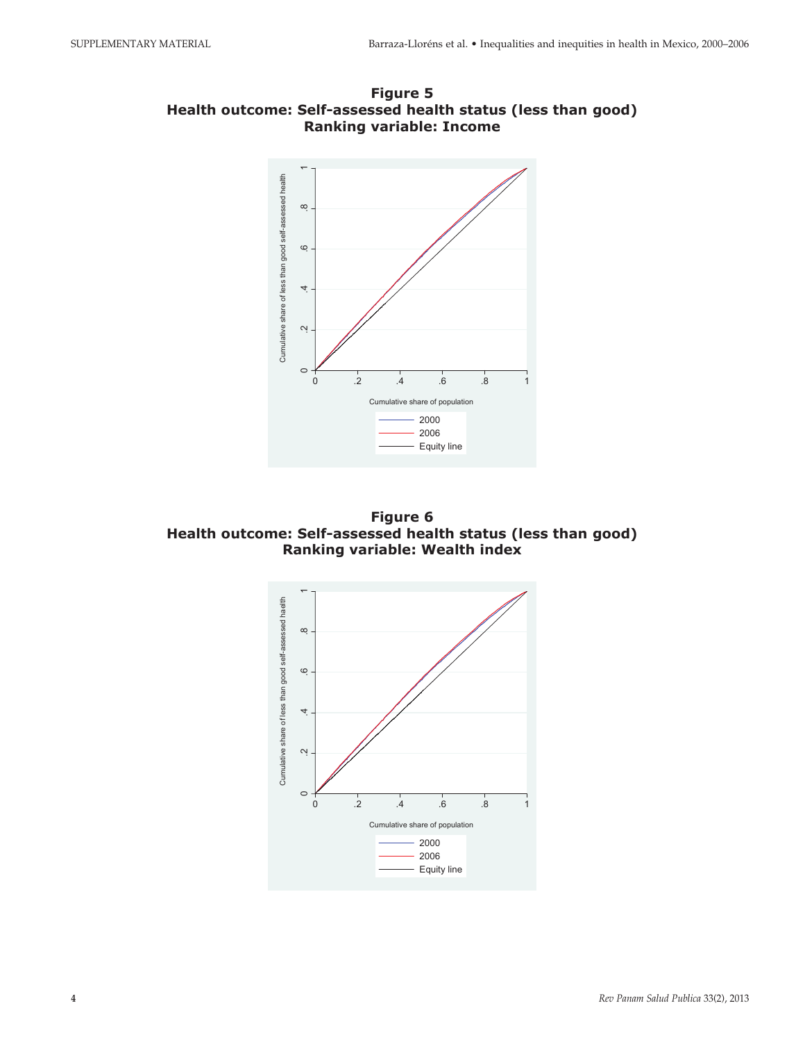

**Figure 5** Health outcome: Self-assessed health status (less than good) **Ranking variable: Income** 

**Figure 6 Health outcome: Self-assessed health status (less than good) Ranking variable: Wealth index** 

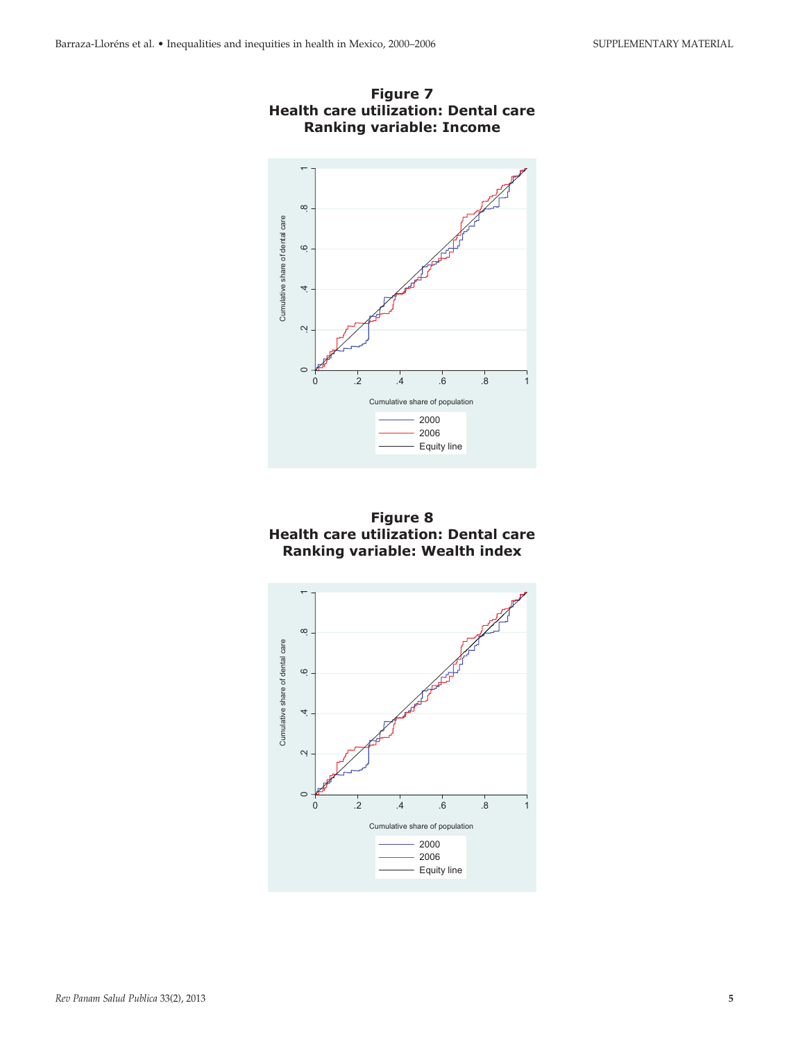





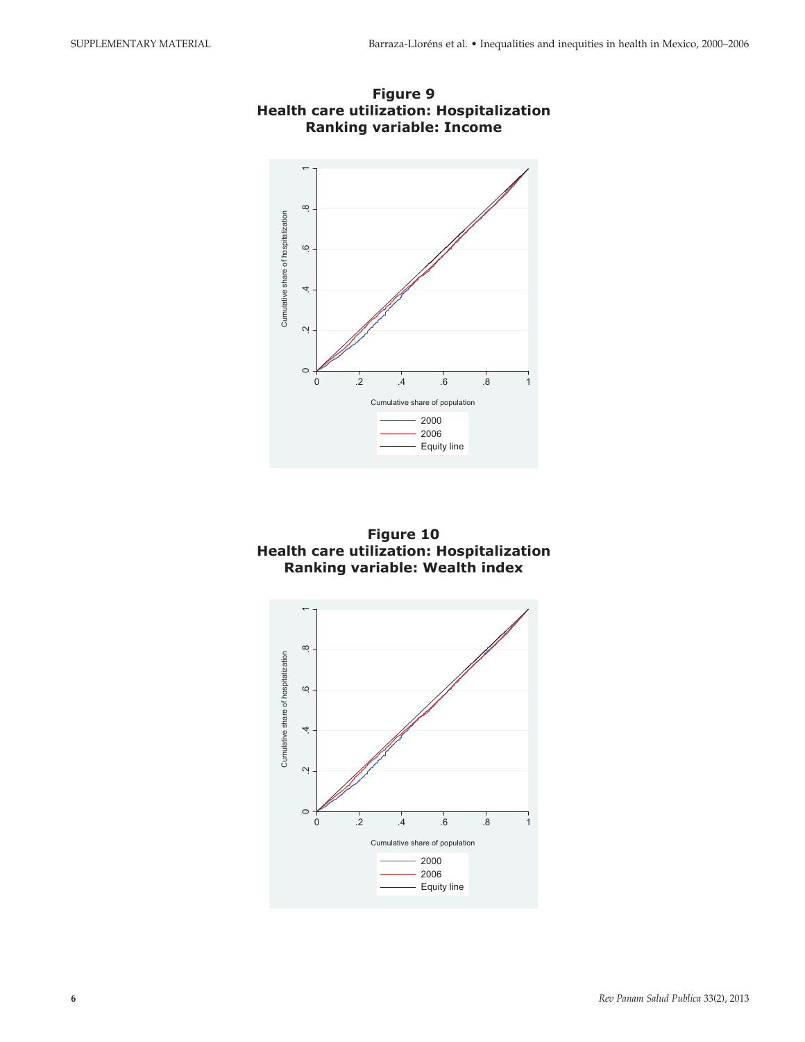

**Figure 9 Health care utilization: Hospitalization Ranking variable: Income** 



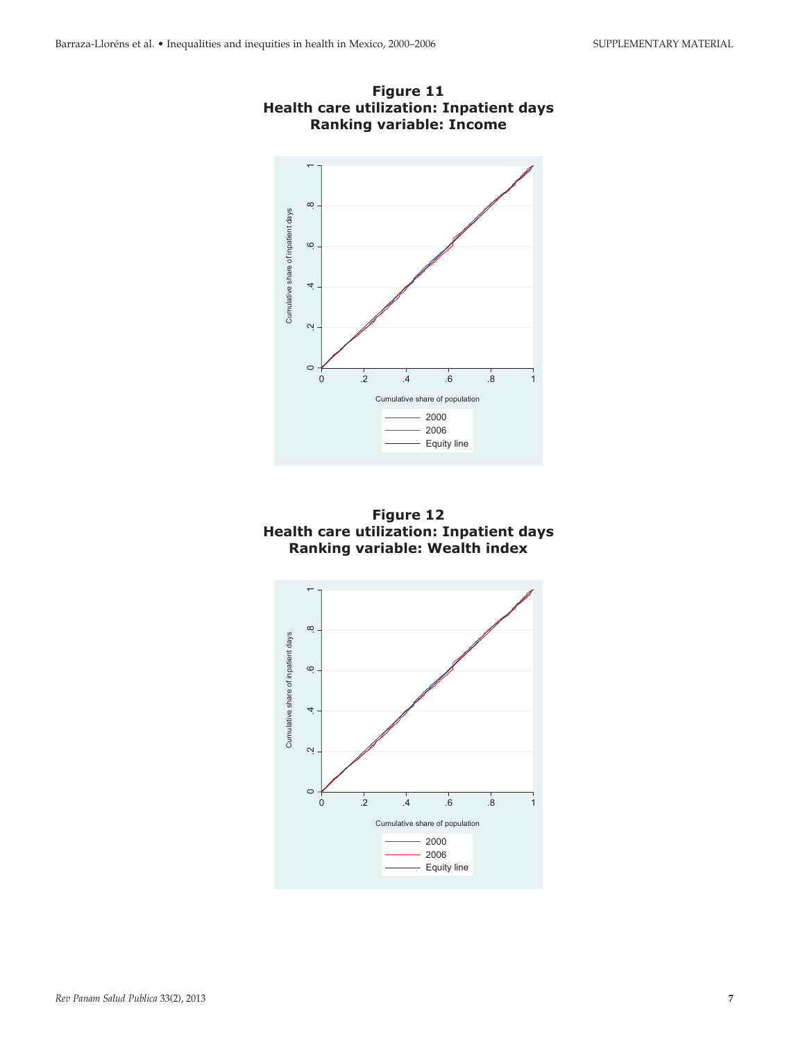



**Figure 12 Health care utilization: Inpatient days** Ranking variable: Wealth index

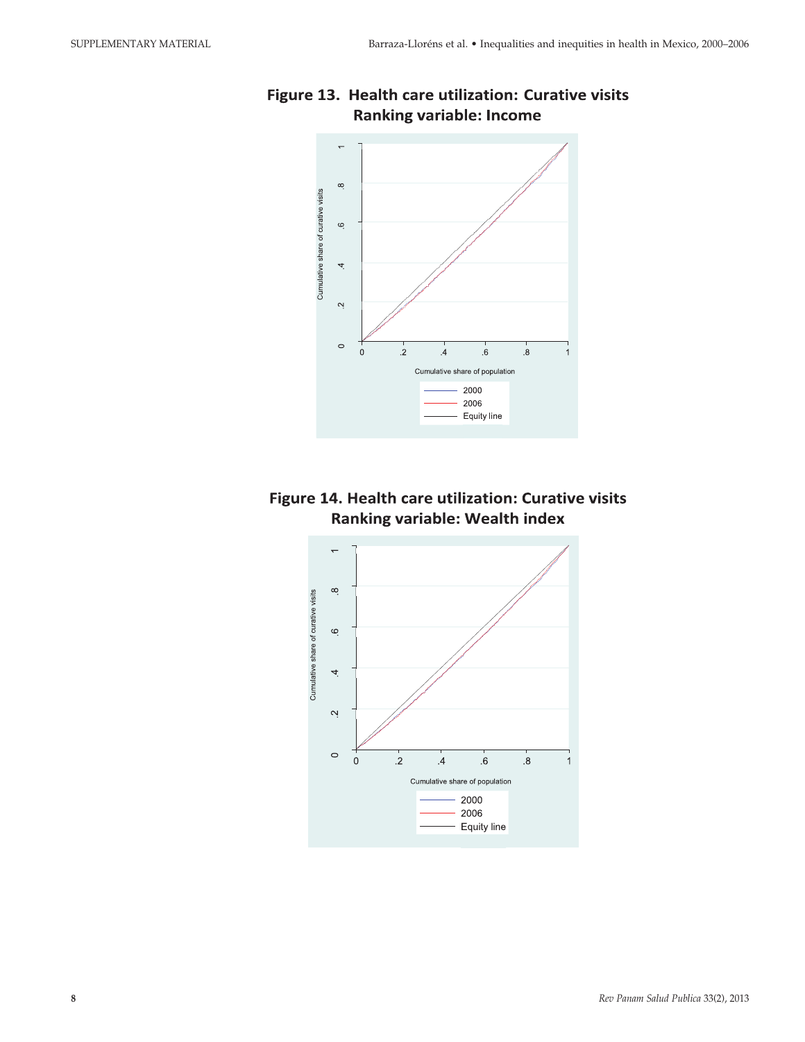

# Figure 13. Health care utilization: Curative visits **Ranking variable: Income**